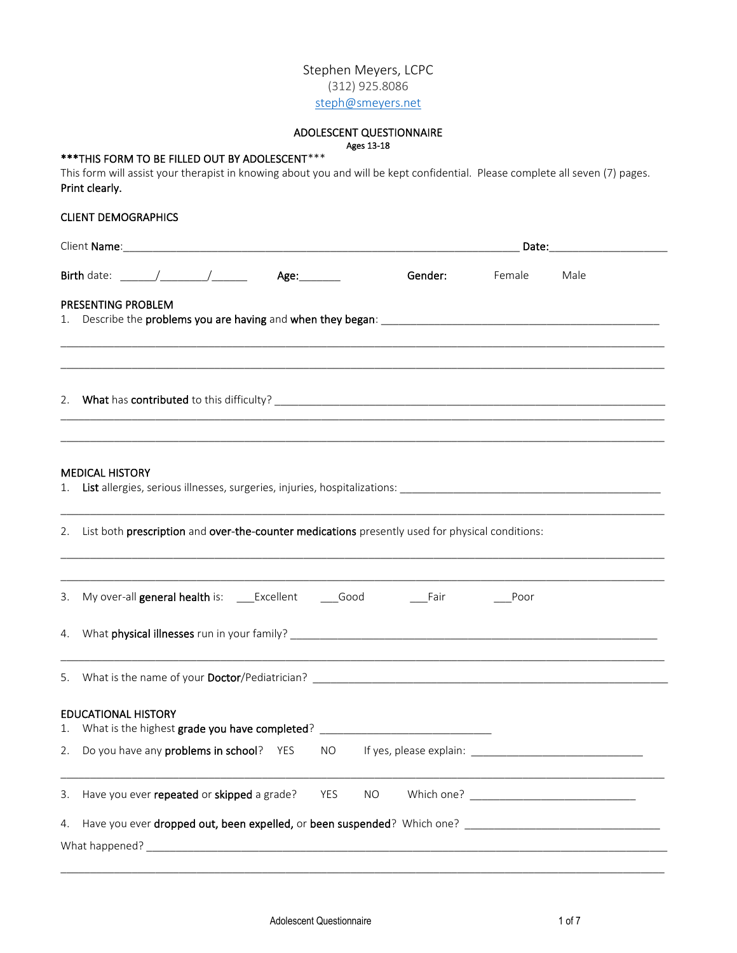# Stephen Meyers, LCPC (312) 925.8086 [steph@smeyers.net](mailto:steph@smeyers.net)

#### ADOLESCENT QUESTIONNAIRE Ages 13-18

# \*\*\*THIS FORM TO BE FILLED OUT BY ADOLESCENT\*\*\*

This form will assist your therapist in knowing about you and will be kept confidential. Please complete all seven (7) pages. Print clearly.

## CLIENT DEMOGRAPHICS

|    |                            | Birth date: ______/_________/________ Age:______                                                   |     |           | Gender: | Female | Male                                                                                                                  |  |
|----|----------------------------|----------------------------------------------------------------------------------------------------|-----|-----------|---------|--------|-----------------------------------------------------------------------------------------------------------------------|--|
|    | PRESENTING PROBLEM         |                                                                                                    |     |           |         |        |                                                                                                                       |  |
|    |                            |                                                                                                    |     |           |         |        |                                                                                                                       |  |
|    | <b>MEDICAL HISTORY</b>     |                                                                                                    |     |           |         |        |                                                                                                                       |  |
|    |                            | 2. List both prescription and over-the-counter medications presently used for physical conditions: |     |           |         |        |                                                                                                                       |  |
|    |                            |                                                                                                    |     |           |         | Poor   |                                                                                                                       |  |
|    |                            |                                                                                                    |     |           |         |        |                                                                                                                       |  |
|    |                            |                                                                                                    |     |           |         |        | <u> 1989 - Johann Harry Harry Harry Harry Harry Harry Harry Harry Harry Harry Harry Harry Harry Harry Harry Harry</u> |  |
| 1. | <b>EDUCATIONAL HISTORY</b> | What is the highest grade you have completed? __________________________________                   |     |           |         |        |                                                                                                                       |  |
|    |                            | 2. Do you have any <b>problems in school</b> ? YES                                                 |     |           |         |        |                                                                                                                       |  |
| 3. |                            | Have you ever repeated or skipped a grade?                                                         | YES | <b>NO</b> |         |        |                                                                                                                       |  |
| 4. |                            |                                                                                                    |     |           |         |        |                                                                                                                       |  |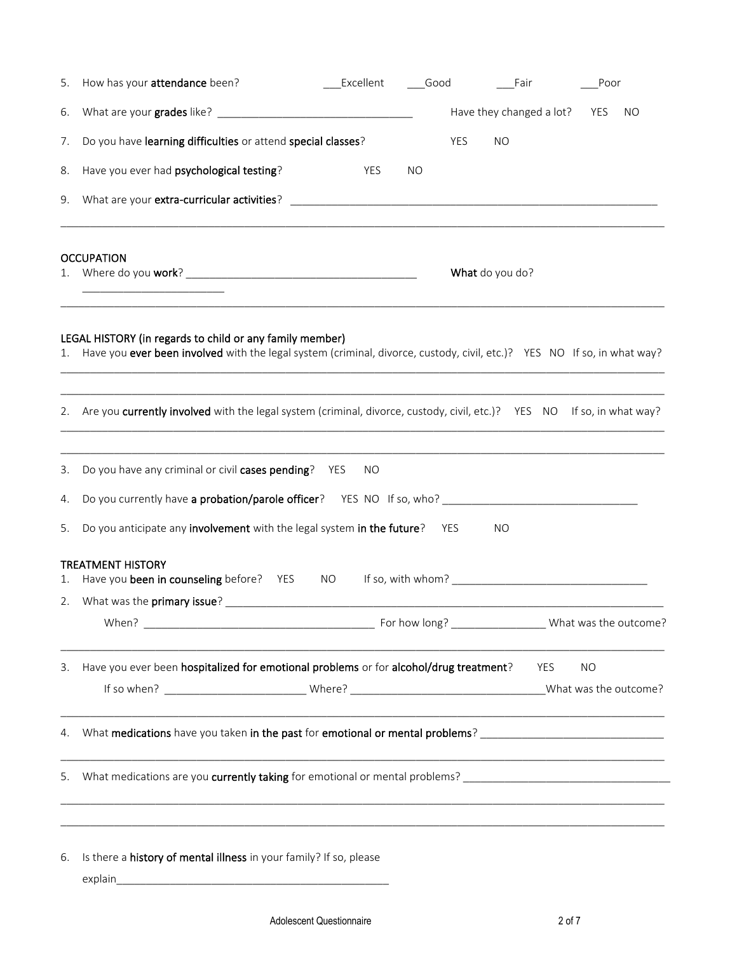| 5. | How has your attendance been?                                                                                                                                                       | <b>Excellent</b> | Good |     | Fair                     | Poor      |    |
|----|-------------------------------------------------------------------------------------------------------------------------------------------------------------------------------------|------------------|------|-----|--------------------------|-----------|----|
| 6. |                                                                                                                                                                                     |                  |      |     | Have they changed a lot? | YES       | NO |
| 7. | Do you have learning difficulties or attend special classes?                                                                                                                        |                  |      | YES | <b>NO</b>                |           |    |
| 8. | Have you ever had psychological testing?                                                                                                                                            | YES              | NO   |     |                          |           |    |
| 9. |                                                                                                                                                                                     |                  |      |     |                          |           |    |
|    | <b>OCCUPATION</b>                                                                                                                                                                   |                  |      |     |                          |           |    |
|    |                                                                                                                                                                                     |                  |      |     | What do you do?          |           |    |
| 1. | LEGAL HISTORY (in regards to child or any family member)<br>Have you ever been involved with the legal system (criminal, divorce, custody, civil, etc.)? YES NO If so, in what way? |                  |      |     |                          |           |    |
|    | 2. Are you currently involved with the legal system (criminal, divorce, custody, civil, etc.)? YES NO If so, in what way?                                                           |                  |      |     |                          |           |    |
| 3. | Do you have any criminal or civil cases pending? YES                                                                                                                                | NO               |      |     |                          |           |    |
| 4. |                                                                                                                                                                                     |                  |      |     |                          |           |    |
| 5. | Do you anticipate any involvement with the legal system in the future?                                                                                                              |                  |      | YES | NO                       |           |    |
| 1. | <b>TREATMENT HISTORY</b><br>Have you been in counseling before? YES                                                                                                                 | NO <sub>1</sub>  |      |     |                          |           |    |
|    |                                                                                                                                                                                     |                  |      |     |                          |           |    |
|    |                                                                                                                                                                                     |                  |      |     |                          |           |    |
| 3. | Have you ever been hospitalized for emotional problems or for alcohol/drug treatment?                                                                                               |                  |      |     | YES                      | <b>NO</b> |    |
|    |                                                                                                                                                                                     |                  |      |     |                          |           |    |
|    | 4. What medications have you taken in the past for emotional or mental problems? _____________________________                                                                      |                  |      |     |                          |           |    |
| 5. | What medications are you <b>currently taking</b> for emotional or mental problems? ___________________________________                                                              |                  |      |     |                          |           |    |
| 6. | ,我们也不能在这里的时候,我们也不能在这里的时候,我们也不能在这里的时候,我们也不能会不能在这里的时候,我们也不能会不能会不能会不能会不能会不能会不能会不能会不<br>Is there a history of mental illness in your family? If so, please                              |                  |      |     |                          |           |    |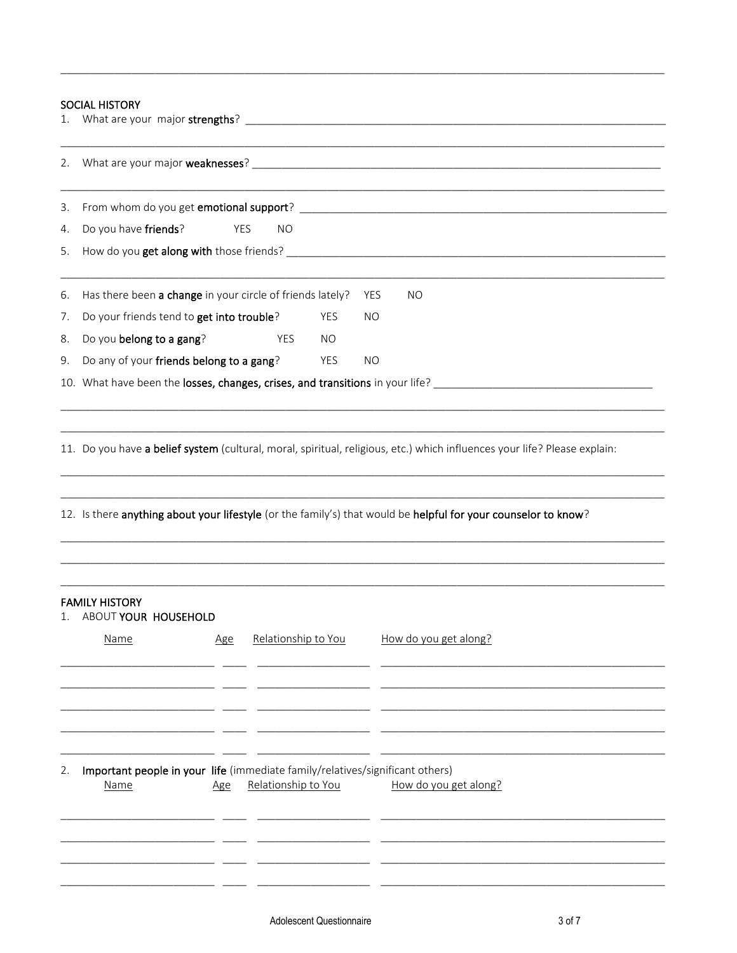## SOCIAL HISTORY

| 2. |                                                           |            |                     |            |           |                                                                                                                |
|----|-----------------------------------------------------------|------------|---------------------|------------|-----------|----------------------------------------------------------------------------------------------------------------|
| 3. |                                                           |            |                     |            |           |                                                                                                                |
| 4. | Do you have friends?                                      | YES        | <b>NO</b>           |            |           |                                                                                                                |
| 5. |                                                           |            |                     |            |           |                                                                                                                |
| 6. | Has there been a change in your circle of friends lately? |            |                     |            | YES       | <b>NO</b>                                                                                                      |
| 7. | Do your friends tend to get into trouble?                 |            |                     | <b>YES</b> | <b>NO</b> |                                                                                                                |
| 8. | Do you belong to a gang?                                  |            | YES                 | NO.        |           |                                                                                                                |
| 9. | Do any of your friends belong to a gang?                  |            |                     | YES        | <b>NO</b> |                                                                                                                |
|    |                                                           |            |                     |            |           |                                                                                                                |
|    |                                                           |            |                     |            |           | 12. Is there anything about your lifestyle (or the family's) that would be helpful for your counselor to know? |
|    |                                                           |            |                     |            |           |                                                                                                                |
| 1. | <b>FAMILY HISTORY</b><br>ABOUT YOUR HOUSEHOLD<br>Name     | <u>Age</u> | Relationship to You |            |           | How do you get along?                                                                                          |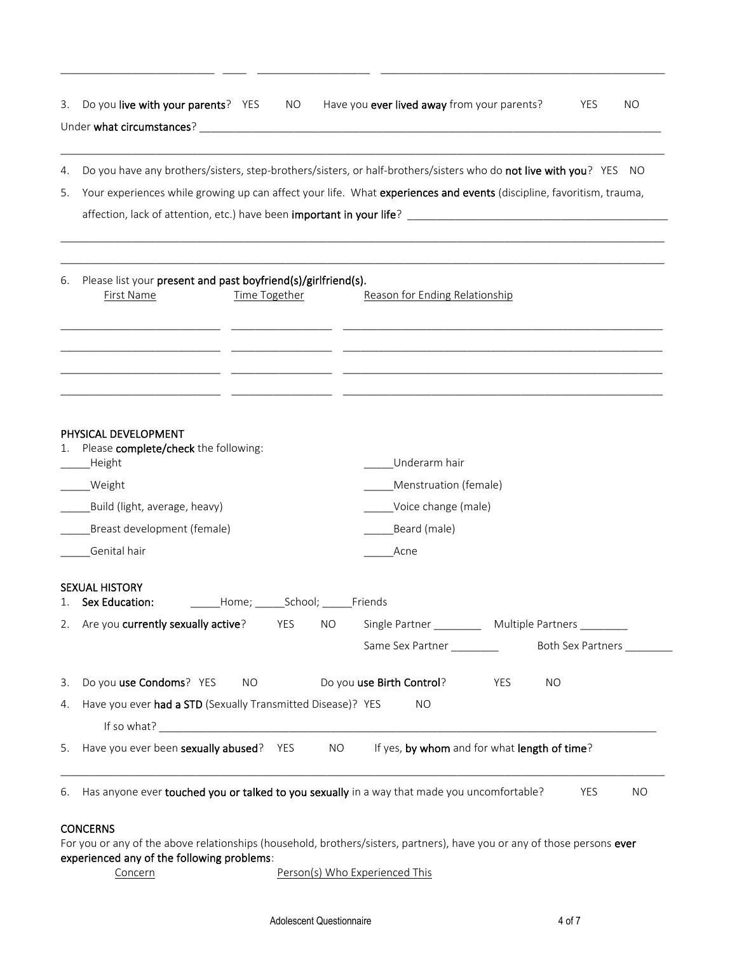| Do you have any brothers/sisters, step-brothers/sisters, or half-brothers/sisters who do not live with you? YES NO<br>4.<br>Your experiences while growing up can affect your life. What experiences and events (discipline, favoritism, trauma,<br>5.<br>affection, lack of attention, etc.) have been <b>important in your life</b> ?<br>Please list your present and past boyfriend(s)/girlfriend(s).<br>6.<br>First Name<br>Time Together<br>Reason for Ending Relationship<br>PHYSICAL DEVELOPMENT<br>Please complete/check the following:<br>1.<br>Underarm hair<br>Height<br>_____Weight<br>Menstruation (female)<br>Voice change (male)<br>Build (light, average, heavy)<br>Breast development (female)<br>Beard (male)<br>Genital hair<br>Acne<br><b>SEXUAL HISTORY</b><br>1. Sex Education: ________Home; ______School; ______Friends<br>2. Are you <b>currently sexually active</b> ? The Sample Partner <b>The Container Act Auditical Section</b> Multiple Partners<br>Same Sex Partner ________<br>3. Do you use Condoms? YES<br>Do you use Birth Control?<br>NO.<br>YES<br><b>NO</b><br>Have you ever had a STD (Sexually Transmitted Disease)? YES<br>4.<br>NO.<br>5. Have you ever been sexually abused? YES<br>If yes, by whom and for what length of time?<br>NO <sub>1</sub><br>Has anyone ever touched you or talked to you sexually in a way that made you uncomfortable?<br>6.<br><b>YES</b> | 3. Do you <b>live with your parents</b> ? YES<br>NO | Have you ever lived away from your parents?<br><b>YES</b><br>NO. |
|---------------------------------------------------------------------------------------------------------------------------------------------------------------------------------------------------------------------------------------------------------------------------------------------------------------------------------------------------------------------------------------------------------------------------------------------------------------------------------------------------------------------------------------------------------------------------------------------------------------------------------------------------------------------------------------------------------------------------------------------------------------------------------------------------------------------------------------------------------------------------------------------------------------------------------------------------------------------------------------------------------------------------------------------------------------------------------------------------------------------------------------------------------------------------------------------------------------------------------------------------------------------------------------------------------------------------------------------------------------------------------------------------------------------|-----------------------------------------------------|------------------------------------------------------------------|
|                                                                                                                                                                                                                                                                                                                                                                                                                                                                                                                                                                                                                                                                                                                                                                                                                                                                                                                                                                                                                                                                                                                                                                                                                                                                                                                                                                                                                     |                                                     |                                                                  |
|                                                                                                                                                                                                                                                                                                                                                                                                                                                                                                                                                                                                                                                                                                                                                                                                                                                                                                                                                                                                                                                                                                                                                                                                                                                                                                                                                                                                                     |                                                     |                                                                  |
|                                                                                                                                                                                                                                                                                                                                                                                                                                                                                                                                                                                                                                                                                                                                                                                                                                                                                                                                                                                                                                                                                                                                                                                                                                                                                                                                                                                                                     |                                                     |                                                                  |
|                                                                                                                                                                                                                                                                                                                                                                                                                                                                                                                                                                                                                                                                                                                                                                                                                                                                                                                                                                                                                                                                                                                                                                                                                                                                                                                                                                                                                     |                                                     |                                                                  |
|                                                                                                                                                                                                                                                                                                                                                                                                                                                                                                                                                                                                                                                                                                                                                                                                                                                                                                                                                                                                                                                                                                                                                                                                                                                                                                                                                                                                                     |                                                     |                                                                  |
|                                                                                                                                                                                                                                                                                                                                                                                                                                                                                                                                                                                                                                                                                                                                                                                                                                                                                                                                                                                                                                                                                                                                                                                                                                                                                                                                                                                                                     |                                                     |                                                                  |
|                                                                                                                                                                                                                                                                                                                                                                                                                                                                                                                                                                                                                                                                                                                                                                                                                                                                                                                                                                                                                                                                                                                                                                                                                                                                                                                                                                                                                     |                                                     |                                                                  |
|                                                                                                                                                                                                                                                                                                                                                                                                                                                                                                                                                                                                                                                                                                                                                                                                                                                                                                                                                                                                                                                                                                                                                                                                                                                                                                                                                                                                                     |                                                     |                                                                  |
|                                                                                                                                                                                                                                                                                                                                                                                                                                                                                                                                                                                                                                                                                                                                                                                                                                                                                                                                                                                                                                                                                                                                                                                                                                                                                                                                                                                                                     |                                                     |                                                                  |
|                                                                                                                                                                                                                                                                                                                                                                                                                                                                                                                                                                                                                                                                                                                                                                                                                                                                                                                                                                                                                                                                                                                                                                                                                                                                                                                                                                                                                     |                                                     |                                                                  |
|                                                                                                                                                                                                                                                                                                                                                                                                                                                                                                                                                                                                                                                                                                                                                                                                                                                                                                                                                                                                                                                                                                                                                                                                                                                                                                                                                                                                                     |                                                     | Both Sex Partners __________                                     |
|                                                                                                                                                                                                                                                                                                                                                                                                                                                                                                                                                                                                                                                                                                                                                                                                                                                                                                                                                                                                                                                                                                                                                                                                                                                                                                                                                                                                                     |                                                     |                                                                  |
|                                                                                                                                                                                                                                                                                                                                                                                                                                                                                                                                                                                                                                                                                                                                                                                                                                                                                                                                                                                                                                                                                                                                                                                                                                                                                                                                                                                                                     |                                                     |                                                                  |
|                                                                                                                                                                                                                                                                                                                                                                                                                                                                                                                                                                                                                                                                                                                                                                                                                                                                                                                                                                                                                                                                                                                                                                                                                                                                                                                                                                                                                     |                                                     |                                                                  |
|                                                                                                                                                                                                                                                                                                                                                                                                                                                                                                                                                                                                                                                                                                                                                                                                                                                                                                                                                                                                                                                                                                                                                                                                                                                                                                                                                                                                                     |                                                     |                                                                  |
|                                                                                                                                                                                                                                                                                                                                                                                                                                                                                                                                                                                                                                                                                                                                                                                                                                                                                                                                                                                                                                                                                                                                                                                                                                                                                                                                                                                                                     |                                                     | <b>NO</b>                                                        |
| <b>CONCERNS</b><br>For you or any of the above relationships (household, brothers/sisters, partners), have you or any of those persons ever<br>experienced any of the following problems:<br>Person(s) Who Experienced This<br><b>Concern</b>                                                                                                                                                                                                                                                                                                                                                                                                                                                                                                                                                                                                                                                                                                                                                                                                                                                                                                                                                                                                                                                                                                                                                                       |                                                     |                                                                  |

\_\_\_\_\_\_\_\_\_\_\_\_\_\_\_\_\_\_\_\_\_\_\_\_\_\_ \_\_\_\_ \_\_\_\_\_\_\_\_\_\_\_\_\_\_\_\_\_\_\_ \_\_\_\_\_\_\_\_\_\_\_\_\_\_\_\_\_\_\_\_\_\_\_\_\_\_\_\_\_\_\_\_\_\_\_\_\_\_\_\_\_\_\_\_\_\_\_\_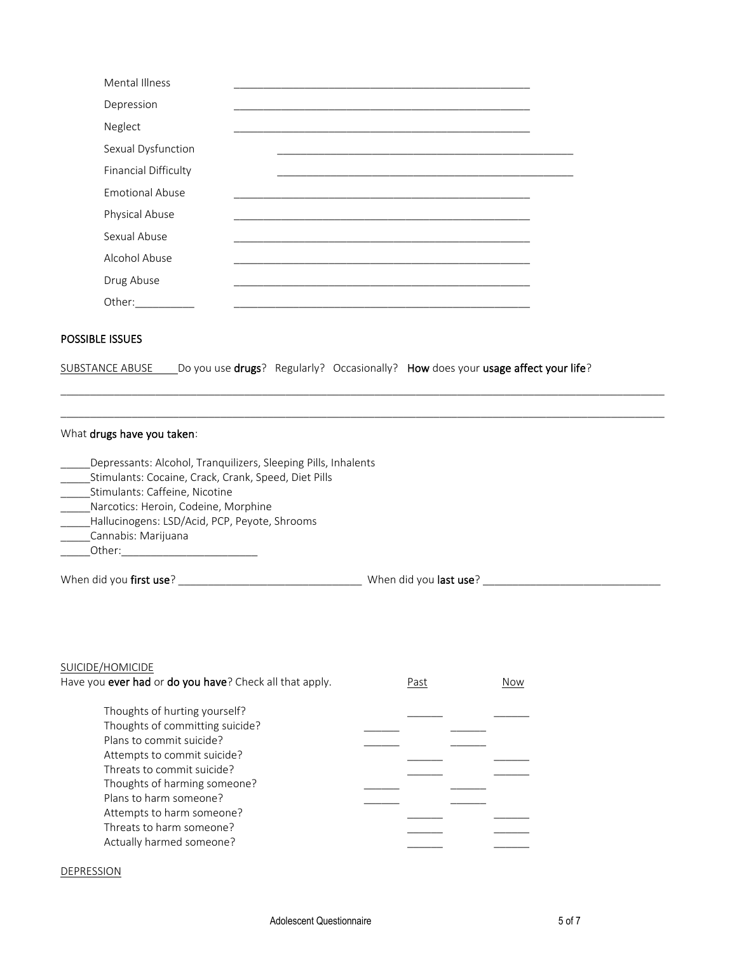| Mental Illness              |  |
|-----------------------------|--|
| Depression                  |  |
| Neglect                     |  |
| Sexual Dysfunction          |  |
| <b>Financial Difficulty</b> |  |
| <b>Emotional Abuse</b>      |  |
| Physical Abuse              |  |
| Sexual Abuse                |  |
| Alcohol Abuse               |  |
| Drug Abuse                  |  |
| Other:                      |  |

## POSSIBLE ISSUES

| <b>SUBSTANCE ABUSE</b> |  |  |  | _Do you use drugs? Regularly? Occasionally? How does your usage affect your life? |
|------------------------|--|--|--|-----------------------------------------------------------------------------------|
|------------------------|--|--|--|-----------------------------------------------------------------------------------|

### What drugs have you taken:

| Depressants: Alcohol, Tranguilizers, Sleeping Pills, Inhalents |                                |
|----------------------------------------------------------------|--------------------------------|
| Stimulants: Cocaine, Crack, Crank, Speed, Diet Pills           |                                |
| Stimulants: Caffeine, Nicotine                                 |                                |
| Narcotics: Heroin, Codeine, Morphine                           |                                |
| Hallucinogens: LSD/Acid, PCP, Peyote, Shrooms                  |                                |
| Cannabis: Marijuana                                            |                                |
| Other:                                                         |                                |
| When did you <b>first use</b> ?                                | When did you <b>last use</b> ? |

 $\_$  , and the set of the set of the set of the set of the set of the set of the set of the set of the set of the set of the set of the set of the set of the set of the set of the set of the set of the set of the set of th  $\_$  , and the set of the set of the set of the set of the set of the set of the set of the set of the set of the set of the set of the set of the set of the set of the set of the set of the set of the set of the set of th

#### SUICIDE/HOMICIDE

| Have you ever had or do you have? Check all that apply. | Past | Now |
|---------------------------------------------------------|------|-----|
| Thoughts of hurting yourself?                           |      |     |
| Thoughts of committing suicide?                         |      |     |
| Plans to commit suicide?                                |      |     |
| Attempts to commit suicide?                             |      |     |
| Threats to commit suicide?                              |      |     |
| Thoughts of harming someone?                            |      |     |
| Plans to harm someone?                                  |      |     |
| Attempts to harm someone?                               |      |     |
| Threats to harm someone?                                |      |     |
| Actually harmed someone?                                |      |     |

#### **DEPRESSION**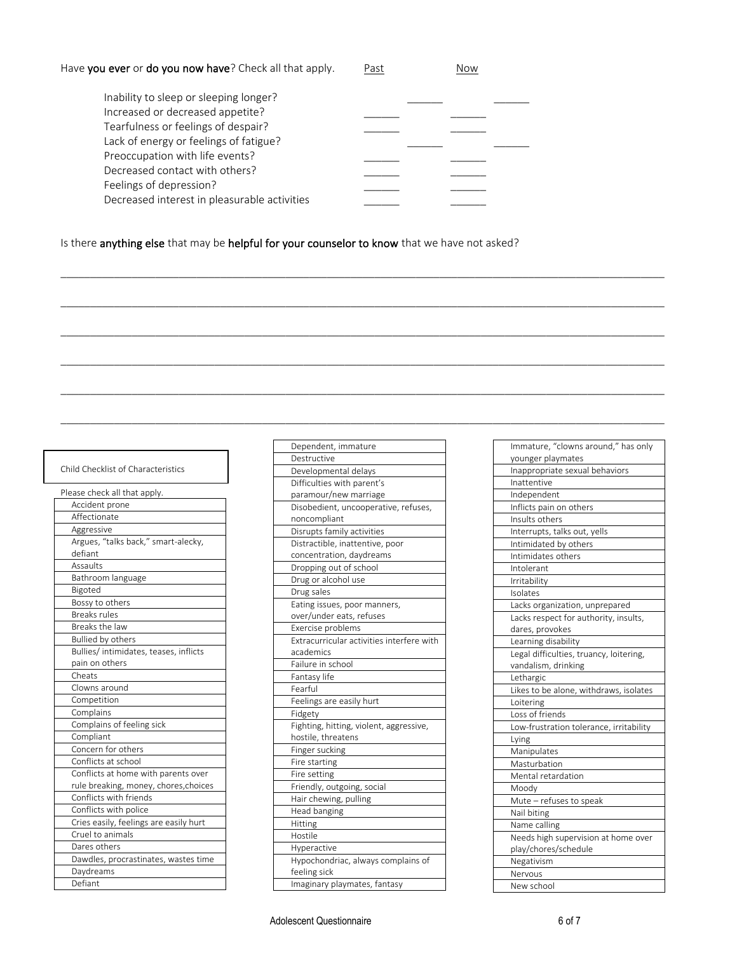| Have you ever or do you now have? Check all that apply. | Past | Now |
|---------------------------------------------------------|------|-----|
|---------------------------------------------------------|------|-----|

| Inability to sleep or sleeping longer?       |  |
|----------------------------------------------|--|
| Increased or decreased appetite?             |  |
| Tearfulness or feelings of despair?          |  |
| Lack of energy or feelings of fatigue?       |  |
| Preoccupation with life events?              |  |
| Decreased contact with others?               |  |
| Feelings of depression?                      |  |
| Decreased interest in pleasurable activities |  |
|                                              |  |

 $\_$  , and the set of the set of the set of the set of the set of the set of the set of the set of the set of the set of the set of the set of the set of the set of the set of the set of the set of the set of the set of th

 $\_$  ,  $\_$  ,  $\_$  ,  $\_$  ,  $\_$  ,  $\_$  ,  $\_$  ,  $\_$  ,  $\_$  ,  $\_$  ,  $\_$  ,  $\_$  ,  $\_$  ,  $\_$  ,  $\_$  ,  $\_$  ,  $\_$  ,  $\_$  ,  $\_$  ,  $\_$  ,  $\_$  ,  $\_$  ,  $\_$  ,  $\_$  ,  $\_$  ,  $\_$  ,  $\_$  ,  $\_$  ,  $\_$  ,  $\_$  ,  $\_$  ,  $\_$  ,  $\_$  ,  $\_$  ,  $\_$  ,  $\_$  ,  $\_$  ,

 $\_$  ,  $\_$  ,  $\_$  ,  $\_$  ,  $\_$  ,  $\_$  ,  $\_$  ,  $\_$  ,  $\_$  ,  $\_$  ,  $\_$  ,  $\_$  ,  $\_$  ,  $\_$  ,  $\_$  ,  $\_$  ,  $\_$  ,  $\_$  ,  $\_$  ,  $\_$  ,  $\_$  ,  $\_$  ,  $\_$  ,  $\_$  ,  $\_$  ,  $\_$  ,  $\_$  ,  $\_$  ,  $\_$  ,  $\_$  ,  $\_$  ,  $\_$  ,  $\_$  ,  $\_$  ,  $\_$  ,  $\_$  ,  $\_$  ,

 $\_$  , and the set of the set of the set of the set of the set of the set of the set of the set of the set of the set of the set of the set of the set of the set of the set of the set of the set of the set of the set of th

 $\_$  ,  $\_$  ,  $\_$  ,  $\_$  ,  $\_$  ,  $\_$  ,  $\_$  ,  $\_$  ,  $\_$  ,  $\_$  ,  $\_$  ,  $\_$  ,  $\_$  ,  $\_$  ,  $\_$  ,  $\_$  ,  $\_$  ,  $\_$  ,  $\_$  ,  $\_$  ,  $\_$  ,  $\_$  ,  $\_$  ,  $\_$  ,  $\_$  ,  $\_$  ,  $\_$  ,  $\_$  ,  $\_$  ,  $\_$  ,  $\_$  ,  $\_$  ,  $\_$  ,  $\_$  ,  $\_$  ,  $\_$  ,  $\_$  ,

 $\_$  , and the set of the set of the set of the set of the set of the set of the set of the set of the set of the set of the set of the set of the set of the set of the set of the set of the set of the set of the set of th

# Is there anything else that may be helpful for your counselor to know that we have not asked?

| Child Checklist of Characteristics |
|------------------------------------|
|------------------------------------|

| Please check all that apply.           |
|----------------------------------------|
| Accident prone                         |
| Affectionate                           |
| Aggressive                             |
| Argues, "talks back," smart-alecky,    |
| defiant                                |
| Assaults                               |
| Bathroom language                      |
| Bigoted                                |
| Bossy to others                        |
| <b>Breaks rules</b>                    |
| Breaks the law                         |
| <b>Bullied by others</b>               |
| Bullies/ intimidates, teases, inflicts |
| pain on others                         |
| Cheats                                 |
| Clowns around                          |
| Competition                            |
| Complains                              |
| Complains of feeling sick              |
| Compliant                              |
| Concern for others                     |
| Conflicts at school                    |
| Conflicts at home with parents over    |
| rule breaking, money, chores, choices  |
| Conflicts with friends                 |
| Conflicts with police                  |
| Cries easily, feelings are easily hurt |
| Cruel to animals                       |
| Dares others                           |
| Dawdles, procrastinates, wastes time   |
| Daydreams                              |
| Defiant                                |

| Dependent, immature                       |
|-------------------------------------------|
| Destructive                               |
| Developmental delays                      |
| Difficulties with parent's                |
| paramour/new marriage                     |
| Disobedient, uncooperative, refuses,      |
| noncompliant                              |
| Disrupts family activities                |
| Distractible, inattentive, poor           |
| concentration, daydreams                  |
| Dropping out of school                    |
| Drug or alcohol use                       |
| Drug sales                                |
| Eating issues, poor manners,              |
| over/under eats, refuses                  |
| Exercise problems                         |
| Extracurricular activities interfere with |
| academics                                 |
| Failure in school                         |
| Fantasy life                              |
| Fearful                                   |
| Feelings are easily hurt                  |
| Fidgety                                   |
| Fighting, hitting, violent, aggressive,   |
| hostile, threatens                        |
| Finger sucking                            |
| Fire starting                             |
| Fire setting                              |
| Friendly, outgoing, social                |
| Hair chewing, pulling                     |
| Head banging                              |
| Hitting                                   |
| Hostile                                   |
| Hyperactive                               |
| Hypochondriac, always complains of        |
| feeling sick                              |
| Imaginary playmates, fantasy              |

| Immature, "clowns around," has only     |
|-----------------------------------------|
| younger playmates                       |
| Inappropriate sexual behaviors          |
| Inattentive                             |
| Independent                             |
| Inflicts pain on others                 |
| Insults others                          |
| Interrupts, talks out, yells            |
| Intimidated by others                   |
| Intimidates others                      |
| Intolerant                              |
| Irritability                            |
| Isolates                                |
| Lacks organization, unprepared          |
| Lacks respect for authority, insults,   |
| dares, provokes                         |
| Learning disability                     |
| Legal difficulties, truancy, loitering, |
| vandalism, drinking                     |
| Lethargic                               |
| Likes to be alone, withdraws, isolates  |
| Loitering                               |
| Loss of friends                         |
| Low-frustration tolerance, irritability |
| Lying                                   |
| Manipulates                             |
| Masturbation                            |
| Mental retardation                      |
| Moody                                   |
| Mute - refuses to speak                 |
| Nail biting                             |
| Name calling                            |
| Needs high supervision at home over     |
| play/chores/schedule                    |
| Negativism                              |
| Nervous                                 |
| New school                              |